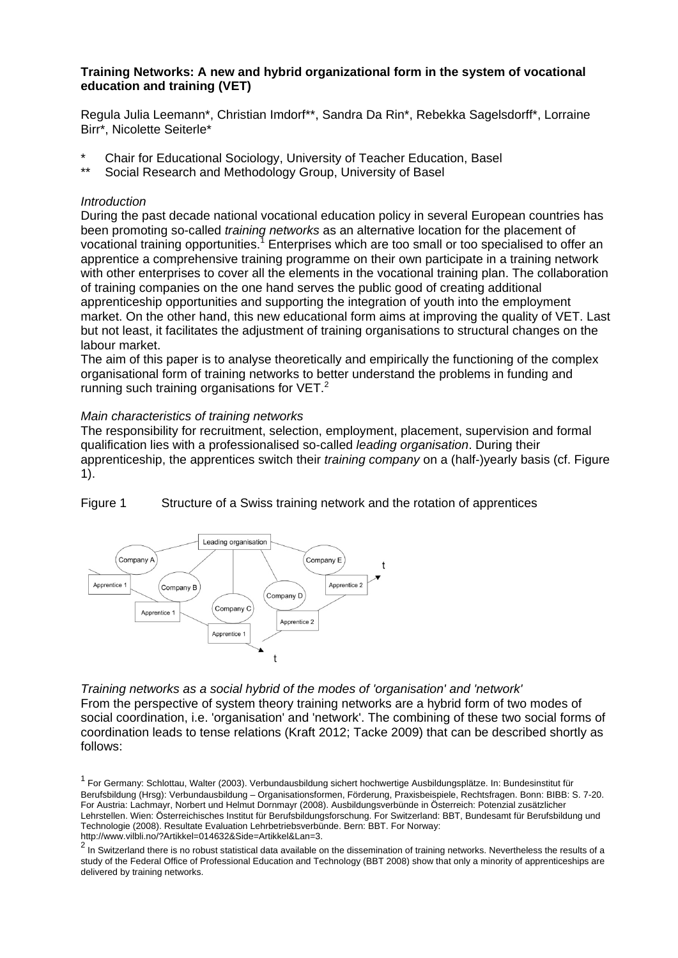# **Training Networks: A new and hybrid organizational form in the system of vocational education and training (VET)**

Regula Julia Leemann\*, Christian Imdorf\*\*, Sandra Da Rin\*, Rebekka Sagelsdorff\*, Lorraine Birr\*, Nicolette Seiterle\*

- \* Chair for Educational Sociology, University of Teacher Education, Basel<br>\*\* Social Bassarsh and Mathadelegy Croup, University of Basel
- Social Research and Methodology Group, University of Basel

### *Introduction*

During the past decade national vocational education policy in several European countries has been promoting so-called *training networks* as an alternative location for the placement of vocational training opportunities.<sup>7</sup> Enterprises which are too small or too specialised to offer an apprentice a comprehensive training programme on their own participate in a training network with other enterprises to cover all the elements in the vocational training plan. The collaboration of training companies on the one hand serves the public good of creating additional apprenticeship opportunities and supporting the integration of youth into the employment market. On the other hand, this new educational form aims at improving the quality of VET. Last but not least, it facilitates the adjustment of training organisations to structural changes on the labour market.

The aim of this paper is to analyse theoretically and empirically the functioning of the complex organisational form of training networks to better understand the problems in funding and running such training organisations for  $VET<sup>2</sup>$ .

# *Main characteristics of training networks*

The responsibility for recruitment, selection, employment, placement, supervision and formal qualification lies with a professionalised so-called *leading organisation*. During their apprenticeship, the apprentices switch their *training company* on a (half-)yearly basis (cf. Figure 1).

Figure 1 Structure of a Swiss training network and the rotation of apprentices



*Training networks as a social hybrid of the modes of 'organisation' and 'network'*  From the perspective of system theory training networks are a hybrid form of two modes of social coordination, i.e. 'organisation' and 'network'. The combining of these two social forms of coordination leads to tense relations (Kraft 2012; Tacke 2009) that can be described shortly as follows:

<sup>&</sup>lt;sup>1</sup> For Germany: Schlottau, Walter (2003). Verbundausbildung sichert hochwertige Ausbildungsplätze. In: Bundesinstitut für Berufsbildung (Hrsg): Verbundausbildung – Organisationsformen, Förderung, Praxisbeispiele, Rechtsfragen. Bonn: BIBB: S. 7-20. For Austria: Lachmayr, Norbert und Helmut Dornmayr (2008). Ausbildungsverbünde in Österreich: Potenzial zusätzlicher Lehrstellen. Wien: Österreichisches Institut für Berufsbildungsforschung. For Switzerland: BBT, Bundesamt für Berufsbildung und Technologie (2008). Resultate Evaluation Lehrbetriebsverbünde. Bern: BBT. For Norway: http://www.vilbli.no/?Artikkel=014632&Side=Artikkel&Lan=3.

 $2\overline{1}$  In Switzerland there is no robust statistical data available on the dissemination of training networks. Nevertheless the results of a study of the Federal Office of Professional Education and Technology (BBT 2008) show that only a minority of apprenticeships are delivered by training networks.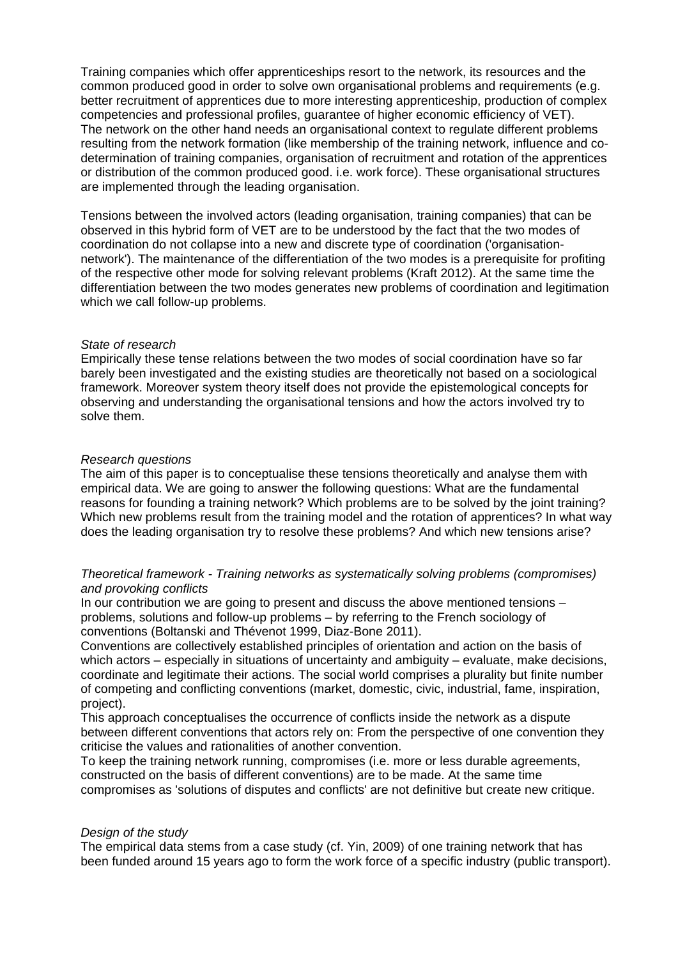Training companies which offer apprenticeships resort to the network, its resources and the common produced good in order to solve own organisational problems and requirements (e.g. better recruitment of apprentices due to more interesting apprenticeship, production of complex competencies and professional profiles, guarantee of higher economic efficiency of VET). The network on the other hand needs an organisational context to regulate different problems resulting from the network formation (like membership of the training network, influence and codetermination of training companies, organisation of recruitment and rotation of the apprentices or distribution of the common produced good. i.e. work force). These organisational structures are implemented through the leading organisation.

Tensions between the involved actors (leading organisation, training companies) that can be observed in this hybrid form of VET are to be understood by the fact that the two modes of coordination do not collapse into a new and discrete type of coordination ('organisationnetwork'). The maintenance of the differentiation of the two modes is a prerequisite for profiting of the respective other mode for solving relevant problems (Kraft 2012). At the same time the differentiation between the two modes generates new problems of coordination and legitimation which we call follow-up problems.

#### *State of research*

Empirically these tense relations between the two modes of social coordination have so far barely been investigated and the existing studies are theoretically not based on a sociological framework. Moreover system theory itself does not provide the epistemological concepts for observing and understanding the organisational tensions and how the actors involved try to solve them.

# *Research questions*

The aim of this paper is to conceptualise these tensions theoretically and analyse them with empirical data. We are going to answer the following questions: What are the fundamental reasons for founding a training network? Which problems are to be solved by the joint training? Which new problems result from the training model and the rotation of apprentices? In what way does the leading organisation try to resolve these problems? And which new tensions arise?

# *Theoretical framework - Training networks as systematically solving problems (compromises) and provoking conflicts*

In our contribution we are going to present and discuss the above mentioned tensions – problems, solutions and follow-up problems – by referring to the French sociology of conventions (Boltanski and Thévenot 1999, Diaz-Bone 2011).

Conventions are collectively established principles of orientation and action on the basis of which actors – especially in situations of uncertainty and ambiguity – evaluate, make decisions, coordinate and legitimate their actions. The social world comprises a plurality but finite number of competing and conflicting conventions (market, domestic, civic, industrial, fame, inspiration, project).

This approach conceptualises the occurrence of conflicts inside the network as a dispute between different conventions that actors rely on: From the perspective of one convention they criticise the values and rationalities of another convention.

To keep the training network running, compromises (i.e. more or less durable agreements, constructed on the basis of different conventions) are to be made. At the same time compromises as 'solutions of disputes and conflicts' are not definitive but create new critique.

# *Design of the study*

The empirical data stems from a case study (cf. Yin, 2009) of one training network that has been funded around 15 years ago to form the work force of a specific industry (public transport).